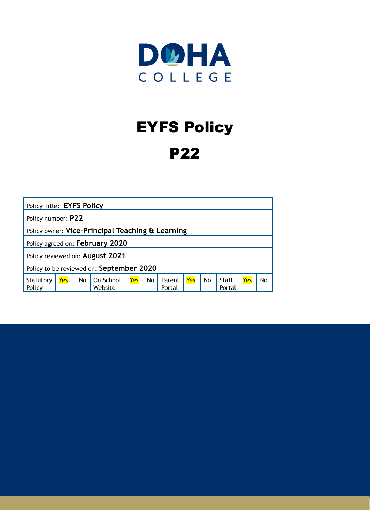

## EYFS Policy

### P22

| Policy Title: EYFS Policy                        |                    |    |                      |     |    |                  |     |    |                 |     |    |
|--------------------------------------------------|--------------------|----|----------------------|-----|----|------------------|-----|----|-----------------|-----|----|
|                                                  | Policy number: P22 |    |                      |     |    |                  |     |    |                 |     |    |
| Policy owner: Vice-Principal Teaching & Learning |                    |    |                      |     |    |                  |     |    |                 |     |    |
| Policy agreed on: February 2020                  |                    |    |                      |     |    |                  |     |    |                 |     |    |
| Policy reviewed on: August 2021                  |                    |    |                      |     |    |                  |     |    |                 |     |    |
| Policy to be reviewed on: September 2020         |                    |    |                      |     |    |                  |     |    |                 |     |    |
| Statutory<br>Policy                              | Yes                | No | On School<br>Website | Yes | No | Parent<br>Portal | Yes | No | Staff<br>Portal | Yes | No |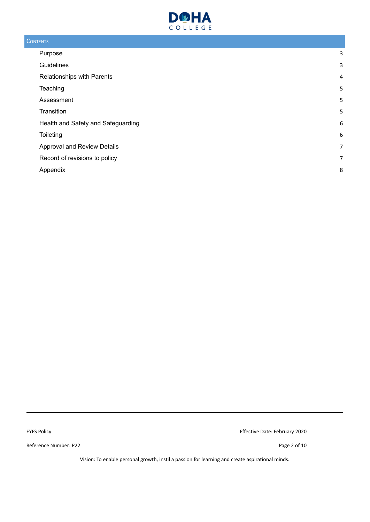

#### **CONTENTS**

| Purpose                            | 3              |
|------------------------------------|----------------|
| Guidelines                         | 3              |
| Relationships with Parents         | $\overline{4}$ |
| Teaching                           | 5              |
| Assessment                         | 5              |
| Transition                         | 5              |
| Health and Safety and Safeguarding | 6              |
| Toileting                          | 6              |
| Approval and Review Details        | 7              |
| Record of revisions to policy      | 7              |
| Appendix                           | 8              |

Reference Number: P22 Page 2 of 10

EYFS Policy Effective Date: February 2020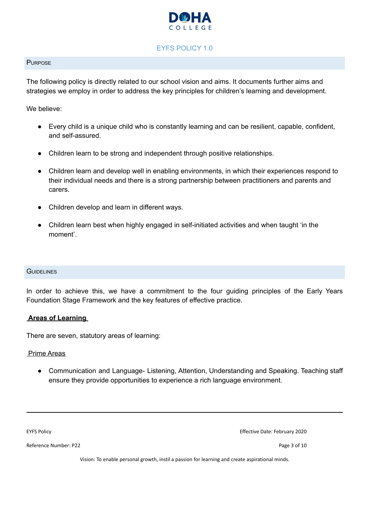

#### EYFS POLICY 1.0

#### <span id="page-2-0"></span>**PURPOSE**

The following policy is directly related to our school vision and aims. It documents further aims and strategies we employ in order to address the key principles for children's learning and development.

We believe:

- Every child is a unique child who is constantly learning and can be resilient, capable, confident, and self-assured.
- Children learn to be strong and independent through positive relationships.
- Children learn and develop well in enabling environments, in which their experiences respond to their individual needs and there is a strong partnership between practitioners and parents and carers.
- Children develop and learn in different ways.
- Children learn best when highly engaged in self-initiated activities and when taught 'in the moment'.

#### <span id="page-2-1"></span>**GUIDELINES**

In order to achieve this, we have a commitment to the four guiding principles of the Early Years Foundation Stage Framework and the key features of effective practice.

#### **Areas of Learning**

There are seven, statutory areas of learning:

#### Prime Areas

● Communication and Language- Listening, Attention, Understanding and Speaking. Teaching staff ensure they provide opportunities to experience a rich language environment.

Reference Number: P22 Page 3 of 10

EYFS Policy Effective Date: February 2020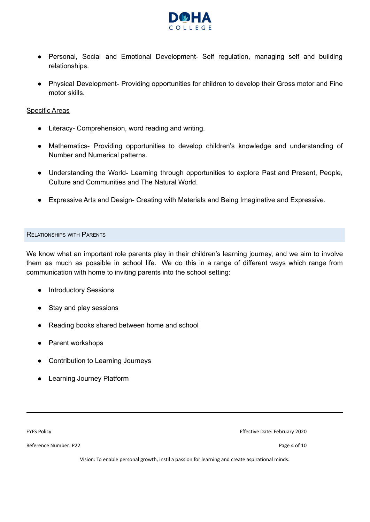

- Personal, Social and Emotional Development- Self regulation, managing self and building relationships.
- Physical Development- Providing opportunities for children to develop their Gross motor and Fine motor skills.

#### Specific Areas

- Literacy- Comprehension, word reading and writing.
- Mathematics- Providing opportunities to develop children's knowledge and understanding of Number and Numerical patterns.
- Understanding the World- Learning through opportunities to explore Past and Present, People, Culture and Communities and The Natural World.
- Expressive Arts and Design- Creating with Materials and Being Imaginative and Expressive.

#### <span id="page-3-0"></span>RELATIONSHIPS WITH PARENTS

We know what an important role parents play in their children's learning journey, and we aim to involve them as much as possible in school life. We do this in a range of different ways which range from communication with home to inviting parents into the school setting:

- Introductory Sessions
- Stay and play sessions
- Reading books shared between home and school
- Parent workshops
- Contribution to Learning Journeys
- Learning Journey Platform

Reference Number: P22 Page 4 of 10

EYFS Policy Effective Date: February 2020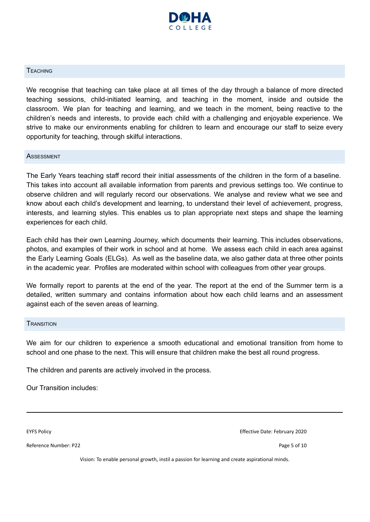

#### <span id="page-4-0"></span>**TEACHING**

We recognise that teaching can take place at all times of the day through a balance of more directed teaching sessions, child-initiated learning, and teaching in the moment, inside and outside the classroom. We plan for teaching and learning, and we teach in the moment, being reactive to the children's needs and interests, to provide each child with a challenging and enjoyable experience. We strive to make our environments enabling for children to learn and encourage our staff to seize every opportunity for teaching, through skilful interactions.

#### <span id="page-4-1"></span>**ASSESSMENT**

The Early Years teaching staff record their initial assessments of the children in the form of a baseline. This takes into account all available information from parents and previous settings too. We continue to observe children and will regularly record our observations. We analyse and review what we see and know about each child's development and learning, to understand their level of achievement, progress, interests, and learning styles. This enables us to plan appropriate next steps and shape the learning experiences for each child.

Each child has their own Learning Journey, which documents their learning. This includes observations, photos, and examples of their work in school and at home. We assess each child in each area against the Early Learning Goals (ELGs). As well as the baseline data, we also gather data at three other points in the academic year. Profiles are moderated within school with colleagues from other year groups.

We formally report to parents at the end of the year. The report at the end of the Summer term is a detailed, written summary and contains information about how each child learns and an assessment against each of the seven areas of learning.

#### <span id="page-4-2"></span>**TRANSITION**

We aim for our children to experience a smooth educational and emotional transition from home to school and one phase to the next. This will ensure that children make the best all round progress.

The children and parents are actively involved in the process.

Our Transition includes:

Reference Number: P22 Page 5 of 10

EYFS Policy Effective Date: February 2020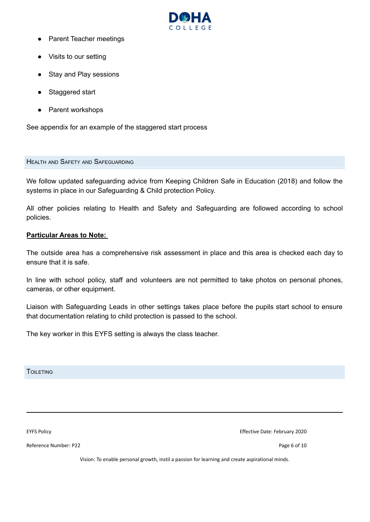

- **Parent Teacher meetings**
- Visits to our setting
- Stay and Play sessions
- Staggered start
- Parent workshops

See appendix for an example of the staggered start process

#### <span id="page-5-0"></span>HEALTH AND SAFETY AND SAFEGUARDING

We follow updated safeguarding advice from Keeping Children Safe in Education (2018) and follow the systems in place in our Safeguarding & Child protection Policy.

All other policies relating to Health and Safety and Safeguarding are followed according to school policies.

#### **Particular Areas to Note:**

The outside area has a comprehensive risk assessment in place and this area is checked each day to ensure that it is safe.

In line with school policy, staff and volunteers are not permitted to take photos on personal phones, cameras, or other equipment.

Liaison with Safeguarding Leads in other settings takes place before the pupils start school to ensure that documentation relating to child protection is passed to the school.

The key worker in this EYFS setting is always the class teacher.

<span id="page-5-1"></span>TOILETING

Reference Number: P22 Page 6 of 10

EYFS Policy Effective Date: February 2020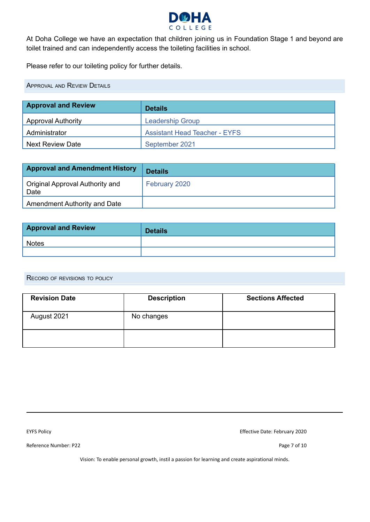

At Doha College we have an expectation that children joining us in Foundation Stage 1 and beyond are toilet trained and can independently access the toileting facilities in school.

Please refer to our toileting policy for further details.

<span id="page-6-0"></span>APPROVAL AND REVIEW DETAILS

| <b>Approval and Review</b> | <b>Details</b>                       |  |  |  |  |
|----------------------------|--------------------------------------|--|--|--|--|
| <b>Approval Authority</b>  | <b>Leadership Group</b>              |  |  |  |  |
| Administrator              | <b>Assistant Head Teacher - EYFS</b> |  |  |  |  |
| <b>Next Review Date</b>    | September 2021                       |  |  |  |  |

| <b>Approval and Amendment History</b>   | <b>Details</b> |
|-----------------------------------------|----------------|
| Original Approval Authority and<br>Date | February 2020  |
| Amendment Authority and Date            |                |

| <b>Approval and Review</b> | <b>Details</b> |
|----------------------------|----------------|
| <b>Notes</b>               |                |
|                            |                |

<span id="page-6-1"></span>RECORD OF REVISIONS TO POLICY

| <b>Revision Date</b> | <b>Description</b> | <b>Sections Affected</b> |  |  |
|----------------------|--------------------|--------------------------|--|--|
| August 2021          | No changes         |                          |  |  |
|                      |                    |                          |  |  |

Reference Number: P22 Page 7 of 10

EYFS Policy Effective Date: February 2020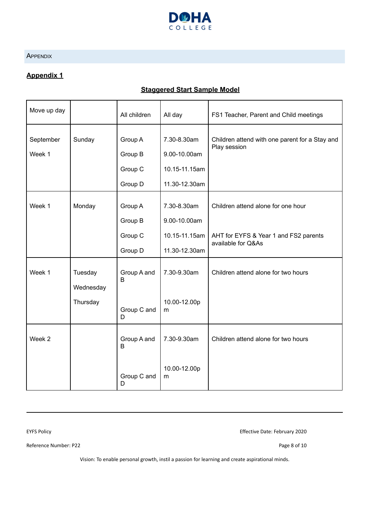

#### <span id="page-7-0"></span>**APPENDIX**

#### **Appendix 1**

#### **Staggered Start Sample Model**

| Move up day         |                                  | All children                             | All day                                                       | FS1 Teacher, Parent and Child meetings                                                            |
|---------------------|----------------------------------|------------------------------------------|---------------------------------------------------------------|---------------------------------------------------------------------------------------------------|
| September<br>Week 1 | Sunday                           | Group A<br>Group B<br>Group C<br>Group D | 7.30-8.30am<br>9.00-10.00am<br>10.15-11.15am<br>11.30-12.30am | Children attend with one parent for a Stay and<br>Play session                                    |
| Week 1              | Monday                           | Group A<br>Group B<br>Group C<br>Group D | 7.30-8.30am<br>9.00-10.00am<br>10.15-11.15am<br>11.30-12.30am | Children attend alone for one hour<br>AHT for EYFS & Year 1 and FS2 parents<br>available for Q&As |
| Week 1              | Tuesday<br>Wednesday<br>Thursday | Group A and<br>B<br>Group C and<br>D     | 7.30-9.30am<br>10.00-12.00p<br>m                              | Children attend alone for two hours                                                               |
| Week <sub>2</sub>   |                                  | Group A and<br>B<br>Group C and<br>D     | 7.30-9.30am<br>10.00-12.00p<br>m                              | Children attend alone for two hours                                                               |

EYFS Policy Effective Date: February 2020

Reference Number: P22 Page 8 of 10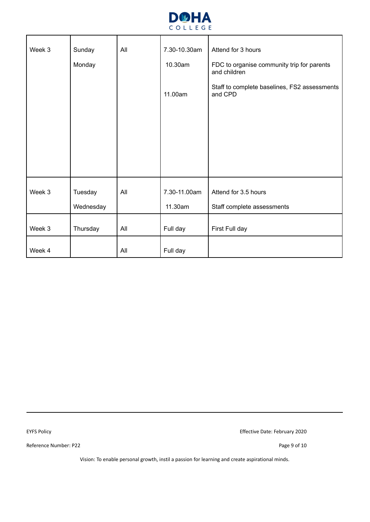

| Week 3 | Sunday<br>All |     | 7.30-10.30am | Attend for 3 hours                                         |
|--------|---------------|-----|--------------|------------------------------------------------------------|
|        | Monday        |     | 10.30am      | FDC to organise community trip for parents<br>and children |
|        |               |     | 11.00am      | Staff to complete baselines, FS2 assessments<br>and CPD    |
|        |               |     |              |                                                            |
|        |               |     |              |                                                            |
|        |               |     |              |                                                            |
| Week 3 | Tuesday       | All | 7.30-11.00am | Attend for 3.5 hours                                       |
|        | Wednesday     |     | 11.30am      | Staff complete assessments                                 |
| Week 3 | Thursday      | All | Full day     | First Full day                                             |
| Week 4 |               | All | Full day     |                                                            |

Reference Number: P22 Page 9 of 10

EYFS Policy Effective Date: February 2020